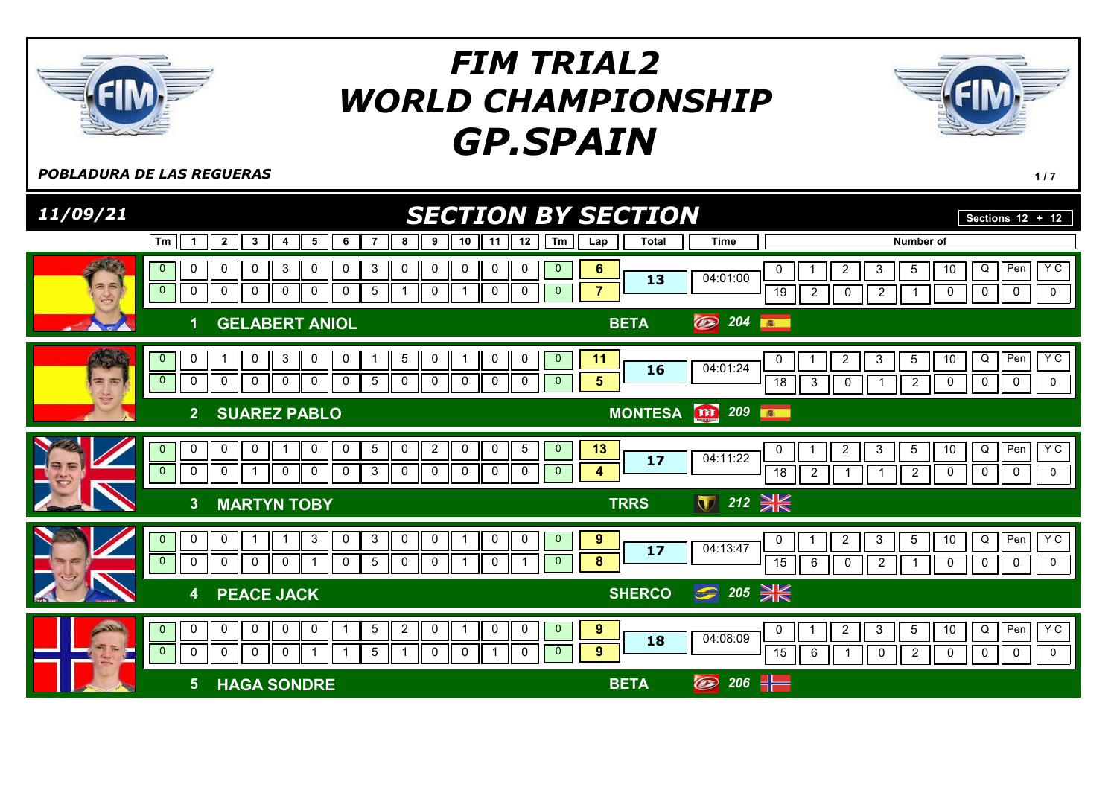

**POBLADURA DE LAS REGUERAS** 117

| 11/09/21         |                                                                                                                                                                                                                                           | <b>SECTION BY SECTION</b>                                                                                                                                                       | Sections $12 + 12$                                            |
|------------------|-------------------------------------------------------------------------------------------------------------------------------------------------------------------------------------------------------------------------------------------|---------------------------------------------------------------------------------------------------------------------------------------------------------------------------------|---------------------------------------------------------------|
|                  | Tm<br>10<br>$\mathbf{3}$<br>6<br>8<br>9<br>11<br>$\mathbf{2}$<br>7<br>5<br>-4<br>$\mathbf 1$                                                                                                                                              | Tm<br>12<br><b>Time</b><br>Number of<br><b>Total</b><br>Lap                                                                                                                     |                                                               |
| 26<br>$\sqrt{2}$ | $\mathbf{3}$<br>0<br>0<br>0<br>0<br>3<br>0<br>0<br>0<br>0<br>0<br>$\mathbf{0}$<br>$\overline{0}$<br>$\mathbf 0$<br>0<br>0<br>0<br>$\mathbf 0$<br>5<br>$\mathbf 0$<br>0<br>0<br>$\mathbf{1}$                                               | 0<br>$\mathbf 0$<br>$6\phantom{1}$<br>$\overline{2}$<br>5<br>3<br>0<br>04:01:00<br>13<br>$\overline{7}$<br>0<br>$\mathbf{0}$<br>19<br>$\overline{2}$<br>$\mathbf 0$<br>2        | Y C<br>Pen<br>Q<br>10<br>$\mathbf 0$<br>0<br>$\mathbf 0$<br>0 |
|                  | <b>GELABERT ANIOL</b>                                                                                                                                                                                                                     | $\circledast$<br>204<br><b>BETA</b><br>高                                                                                                                                        |                                                               |
| $= 5$            | 3<br>0<br>$\mathbf 0$<br>$\mathbf 0$<br>0<br>5<br>0<br>0<br>$\overline{0}$<br>$\overline{\phantom{0}}$<br>$\mathbf 0$<br>$\mathbf 0$<br>0<br>0<br>$\mathbf 0$<br>0<br>$\mathbf 0$<br>0<br>$\mathbf 0$<br>5<br>0                           | 0<br>$\mathbf{0}$<br>11<br>$\overline{c}$<br>3<br>5<br>0<br>04:01:24<br>16<br>5<br>$\overline{0}$<br>0<br>$\overline{18}$<br>3<br>$\mathbf 0$<br>$\overline{2}$                 | YC<br>Pen<br>Q<br>10<br>$\pmb{0}$<br>0<br>$\mathsf{O}$<br>0   |
|                  | <b>SUAREZ PABLO</b><br>$\overline{2}$                                                                                                                                                                                                     | <b>m</b> 209<br><b>MONTESA</b><br><b>BO</b>                                                                                                                                     |                                                               |
|                  | $\overline{2}$<br>$\mathbf 0$<br>$\mathbf 0$<br>0<br>5<br>0<br>0<br>0<br>0<br>0<br>-1<br>$\mathbf{0}$<br>$\mathbf 0$<br>$\mathbf 0$<br>$\overline{0}$<br>$\mathbf 0$<br>0<br>3<br>0<br>0<br>$\mathbf 0$<br>0<br>0<br>$\mathbf 1$          | $\sqrt{5}$<br>13<br>$\mathbf{0}$<br>$\overline{c}$<br>$\sqrt{3}$<br>5<br>0<br>04:11:22<br>17<br>0<br>$\overline{0}$<br>4<br>$\overline{18}$<br>$\overline{2}$<br>$\overline{2}$ | Y C<br>Q<br>Pen<br>10<br>0<br>$\mathbf 0$<br>0<br>0           |
|                  | 3 <sup>2</sup><br><b>MARTYN TOBY</b>                                                                                                                                                                                                      | ▼ 212 米<br><b>TRRS</b>                                                                                                                                                          |                                                               |
|                  | $\mathbf 0$<br>$\mathbf{3}$<br>$\mathbf{3}$<br>$\mathbf 0$<br>$\mathbf 0$<br>0<br>0<br>0<br>1<br>$\mathbf 1$<br>$\overline{0}$<br>-1<br>$\overline{0}$<br>$\mathbf 0$<br>0<br>$\mathbf{0}$<br>$\Omega$<br>$\mathbf 0$<br>0<br>5<br>0<br>0 | $\mathbf 0$<br>$\boldsymbol{9}$<br>$\overline{0}$<br>$\overline{2}$<br>3<br>$5\overline{)}$<br>0<br>04:13:47<br>17<br>8<br>$\mathbf{0}$<br>15<br>6<br>$\overline{2}$<br>0       | YC<br>Q<br>Pen<br>10<br>0<br>$\mathsf{O}$<br>0<br>0           |
|                  | <b>PEACE JACK</b><br>$\overline{\mathbf{4}}$                                                                                                                                                                                              | $\bigcirc$ 205 $\frac{1}{25}$<br><b>SHERCO</b>                                                                                                                                  |                                                               |
|                  | $\mathbf 0$<br>$\mathbf 0$<br>$\overline{2}$<br>$\mathbf 0$<br>0<br>$\mathbf 0$<br>0<br>5<br>0<br>$\overline{0}$<br>$\overline{0}$<br>0<br>$\mathbf 0$<br>5<br>0<br>$\mathbf 0$<br>$\mathbf 0$<br>0<br>-1                                 | 9<br>$\overline{0}$<br>0<br>$\overline{2}$<br>$\sqrt{3}$<br>$5\phantom{.0}$<br>0<br>04:08:09<br>18<br>9<br>$\mathbf 0$<br>$\mathbf{0}$<br>15<br>6<br>$\overline{c}$<br>0        | YC<br>Q<br>Pen<br>10<br>0<br>0<br>$\mathbf 0$<br>0            |
|                  | <b>HAGA SONDRE</b><br>5 <sup>5</sup>                                                                                                                                                                                                      | $\circledcirc$ 206 $\frac{1}{1}$<br><b>BETA</b>                                                                                                                                 |                                                               |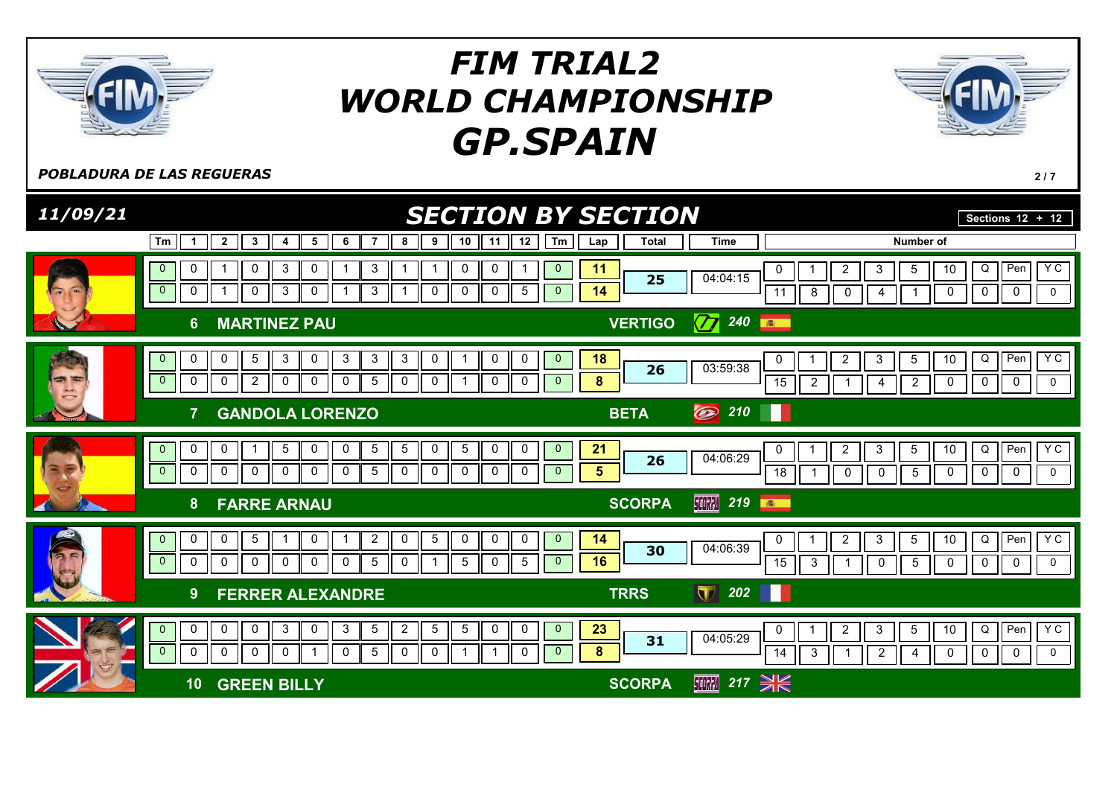

**POBLADURA DE LAS REGUERAS** 2/7

| 11/09/21                    |                                                                                                                                                                                                                                                                                                                             | <b>SECTION BY SECTION</b>                                                                                                                                                          | Sections $\overline{12 + 12}$                                                              |
|-----------------------------|-----------------------------------------------------------------------------------------------------------------------------------------------------------------------------------------------------------------------------------------------------------------------------------------------------------------------------|------------------------------------------------------------------------------------------------------------------------------------------------------------------------------------|--------------------------------------------------------------------------------------------|
|                             | 12<br>6<br>10<br>Tm<br>$\overline{2}$<br>3<br>5<br>9<br>8<br>11<br>4<br>-1                                                                                                                                                                                                                                                  | Tm<br><b>Total</b><br><b>Time</b><br><b>Number of</b><br>Lap                                                                                                                       |                                                                                            |
| $\rightarrow$<br>$\sqrt{2}$ | $\mathbf{3}$<br>$\pmb{0}$<br>$\mathbf{3}$<br>0<br>0<br>0<br>$\mathbf{0}$<br>0<br>$\overline{0}$<br>$\mathbf{3}$<br>$\mathbf 0$<br>0<br>5<br>$\mathbf 0$<br>3<br>0<br>0<br>0<br>1                                                                                                                                            | 11<br>$\mathbf 0$<br>5<br>2<br>3<br>0<br>04:04:15<br>25<br>14<br>$\mathbf{0}$<br>11<br>8<br>0<br>4                                                                                 | $Y$ C<br>Pen<br>10<br>Q<br>$\overline{0}$<br>$\mathbf 0$<br>0<br>0                         |
|                             | <b>MARTINEZ PAU</b><br>6.                                                                                                                                                                                                                                                                                                   | $\varpi$<br>240<br><b>VERTIGO</b><br>图                                                                                                                                             |                                                                                            |
| -                           | $5\phantom{.0}$<br>3<br>0<br>3<br>3<br>3<br>0<br>0<br>0<br>$\mathbf{0}$<br>0<br>0<br>$\mathbf{0}$<br>$\mathbf 0$<br>$\overline{2}$<br>$\mathbf 0$<br>0<br>$5\phantom{.0}$<br>0<br>0<br>$\mathbf 0$<br>0<br>0<br>0                                                                                                           | $\mathbf 0$<br>18<br>$\overline{2}$<br>3<br>5<br>0<br>03:59:38<br>26<br>$\bf 8$<br>$\mathbf{0}$<br>15<br>$\overline{2}$<br>$\overline{2}$<br>4<br>-1                               | Y C<br>Pen<br>10<br>Q<br>$\mathbf 0$<br>$\mathbf 0$<br>0<br>0                              |
|                             | <b>GANDOLA LORENZO</b>                                                                                                                                                                                                                                                                                                      | $\circledcirc$<br>210<br><b>BETA</b>                                                                                                                                               |                                                                                            |
|                             | $\mathbf 0$<br>$5\phantom{.0}$<br>$5\phantom{.0}$<br>$\pmb{0}$<br>$5\phantom{.0}$<br>$\pmb{0}$<br>$\mathbf 0$<br>$\,$ 5 $\,$<br>$\mathbf 0$<br>$\pmb{0}$<br>$\mathbf{0}$<br>0<br>-1<br>$\overline{\phantom{0}}$<br>$\mathbf 0$<br>$\mathbf 0$<br>$\mathbf 0$<br>$5\phantom{.0}$<br>0<br>0<br>0<br>0<br>0<br>0<br>0<br>0     | 21<br>$\mathbf{0}$<br>$\overline{c}$<br>3<br>5<br>0<br>04:06:29<br>26<br>$5\phantom{.0}$<br>$\mathbf{0}$<br>$\overline{18}$<br>$\mathbf 0$<br>$5\phantom{.0}$<br>$\mathbf 0$<br>-1 | Y C<br>$\overline{D}$<br>Pen<br>10<br>$\mathbf 0$<br>$\mathbf 0$<br>$\mathbf 0$<br>0       |
|                             | <b>FARRE ARNAU</b><br>8                                                                                                                                                                                                                                                                                                     | <b>SCORPA</b><br>219<br><b>SCORPA</b><br>高                                                                                                                                         |                                                                                            |
| $\rightarrow$<br>65         | $5\phantom{.0}$<br>$\overline{2}$<br>$\overline{5}$<br>$\mathbf 0$<br>$\mathbf 0$<br>$\mathbf 0$<br>$\mathbf 0$<br>0<br>$\mathbf 0$<br>$\overline{0}$<br>0<br>$\mathbf{0}$<br>$\mathbf 0$<br>$\mathbf 0$<br>$5\phantom{.0}$<br>$5\phantom{.0}$<br>$\mathbf 0$<br>$\mathbf{0}$<br>$\mathbf{0}$<br>0<br>$\mathbf 0$<br>5<br>0 | $\mathbf{0}$<br>14<br>$\overline{2}$<br>$\mathbf{3}$<br>$5\phantom{.0}$<br>0<br>04:06:39<br>30<br>16<br>$\mathbf{0}$<br>$\overline{15}$<br>3<br>$5\phantom{.0}$<br>0               | <b>YC</b><br>10<br>$\overline{Q}$<br>Pen<br>$\mathbf 0$<br>$\mathbf 0$<br>$\mathbf 0$<br>0 |
|                             | <b>FERRER ALEXANDRE</b><br>9                                                                                                                                                                                                                                                                                                | $\begin{array}{ c c c c c }\n\hline\n202 & \text{II} & \text{I}\n\end{array}$<br>$\blacksquare$<br><b>TRRS</b>                                                                     |                                                                                            |
|                             | $\mathbf{3}$<br>$\mathbf{3}$<br>$5\phantom{.0}$<br>$\overline{5}$<br>$\overline{0}$<br>0<br>$\mathbf 0$<br>$\mathbf 0$<br>$\overline{2}$<br>5<br>0<br>0<br>0<br>$\mathbf 0$<br>$\sqrt{5}$<br>$\mathbf 0$<br>$\mathbf 0$<br>$\mathbf 0$<br>0<br>0<br>0<br>$\Omega$<br>0                                                      | 23<br>$\overline{0}$<br>$5\phantom{.0}$<br>$\overline{c}$<br>$\mathbf{3}$<br>0<br>04:05:29<br>31<br>$\bf{8}$<br>$\overline{0}$<br>14<br>3<br>$\overline{2}$<br>4                   | $Y$ C<br>Q<br>Per<br>10<br>$\mathbf 0$<br>0<br>$\mathbf 0$<br>0                            |
|                             | <b>GREEN BILLY</b><br>10                                                                                                                                                                                                                                                                                                    | 217 $\geq$<br><b>SCORPA</b><br><b>SCORPA</b>                                                                                                                                       |                                                                                            |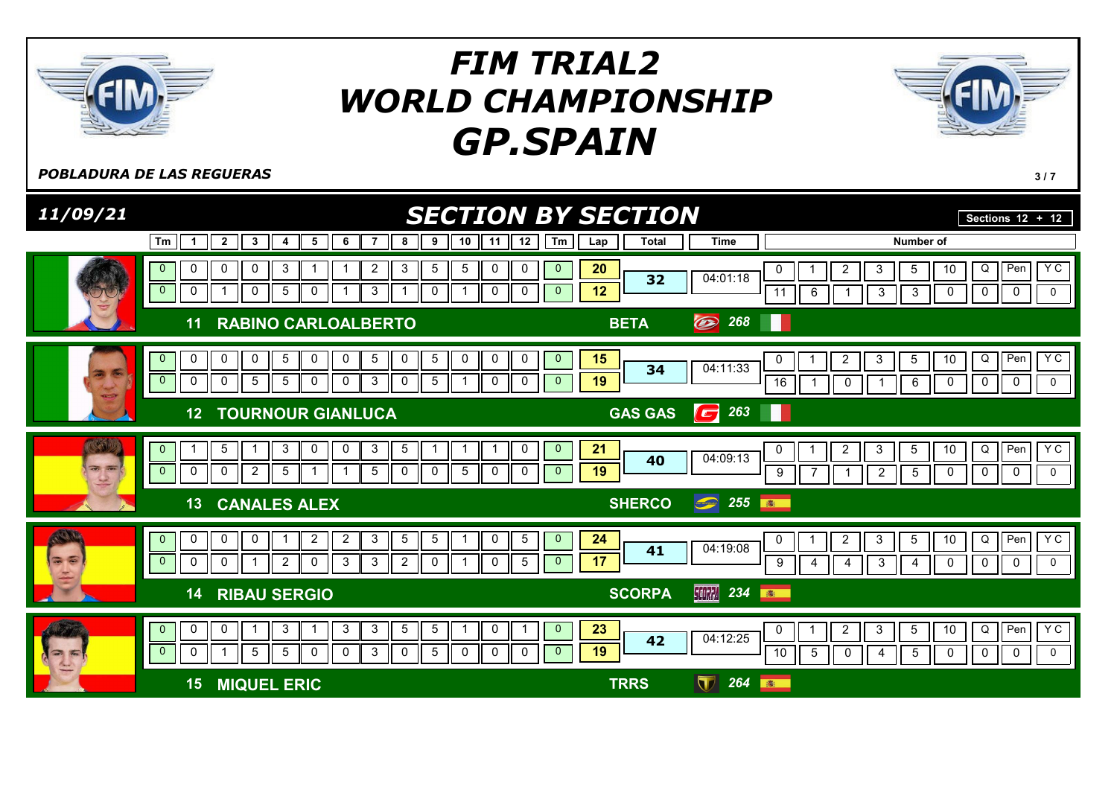

POBLADURA DE LAS REGUERAS **3/7** 

| 11/09/21                                                                               |                                                                                                                                                                                                                                                                                           | <b>SECTION BY SECTION</b>                                                                                                                                                              | Sections $\overline{12 + 12}$                                                                              |
|----------------------------------------------------------------------------------------|-------------------------------------------------------------------------------------------------------------------------------------------------------------------------------------------------------------------------------------------------------------------------------------------|----------------------------------------------------------------------------------------------------------------------------------------------------------------------------------------|------------------------------------------------------------------------------------------------------------|
|                                                                                        | Tm<br>8<br>9<br>10<br>11<br>12<br>$\overline{2}$<br>3<br>5<br>6<br>$\overline{7}$<br>4<br>-1                                                                                                                                                                                              | $\sqrt{m}$<br><b>Total</b><br><b>Time</b><br>Lap                                                                                                                                       | <b>Number of</b>                                                                                           |
|                                                                                        | $\mathbf{3}$<br>5<br>$\overline{5}$<br>0<br>0<br>0<br>3<br>$\overline{2}$<br>0<br>0<br>$\overline{0}$<br>$\mathsf 0$<br>$\mathbf 0$<br>$\mathbf 0$<br>$\mathbf 0$<br>3<br>0<br>5<br>0<br>$\overline{1}$<br>-1                                                                             | 20<br>$\mathbf{0}$<br>$\overline{c}$<br>$\mathbf{3}$<br>0<br>04:01:18<br>32<br>12<br>$\mathbf{0}$<br>11<br>6<br>3                                                                      | Pen<br>YC<br>$Q \parallel$<br>10<br>5<br>$\overline{0}$<br>$\mathbf 0$<br>$\mathbf 0$<br>$\mathbf{3}$<br>0 |
|                                                                                        | <b>RABINO CARLOALBERTO</b><br>11                                                                                                                                                                                                                                                          | O<br>268<br><b>BETA</b>                                                                                                                                                                |                                                                                                            |
|                                                                                        | $5\phantom{.0}$<br>$\mathbf 0$<br>0<br>0<br>0<br>5<br>0<br>5<br>0<br>0<br>0<br>0<br>$\mathbf{0}$<br>$\overline{0}$<br>$\mathbf 0$<br>$5\phantom{.0}$<br>5<br>5<br>0<br>3<br>0<br>0<br>0<br>0<br>0                                                                                         | $\mathbf{0}$<br>15<br>$\overline{2}$<br>3<br>0<br>04:11:33<br>34<br>19<br>$\Omega$<br>16<br>$\mathbf 0$                                                                                | YC<br>Q<br>Pen<br>5<br>10<br>0<br>0<br>6<br>$\mathbf 0$<br>0                                               |
|                                                                                        | <b>TOURNOUR GIANLUCA</b><br>12                                                                                                                                                                                                                                                            | 263<br>Ш<br><b>GAS GAS</b><br>$\left( \begin{matrix} \rule{0pt}{2.5pt} \rule{0pt}{2.5pt} \rule{0pt}{2.5pt} \rule{0pt}{2.5pt} \rule{0pt}{2.5pt} \rule{0pt}{2.5pt} \end{matrix} \right)$ |                                                                                                            |
| $\left(\mathbb{C}\right)$<br>$\overline{3}$ $\overline{3}$<br>$\overline{\mathcal{L}}$ | $\overline{5}$<br>5<br>$\mathbf{3}$<br>$\mathbf{3}$<br>$\mathbf 0$<br>0<br>0<br>$\mathbf{0}$<br>-1<br>0<br>$\overline{2}$<br>0<br>$\sqrt{5}$<br>$\mathbf 0$<br>0<br>$5\phantom{.0}$<br>$\overline{0}$<br>$\mathbf{0}$<br>5<br>0<br>-1                                                     | 21<br>$\mathbf{0}$<br>$\overline{c}$<br>$\sqrt{3}$<br>0<br>04:09:13<br>40<br>19<br>$\mathbf{0}$<br>9<br>$\sqrt{2}$<br>1                                                                | Y C<br>Pen<br>Q<br>5<br>10<br>$\mathbf 0$<br>$\mathbf 0$<br>0<br>$\overline{5}$<br>0                       |
|                                                                                        | <b>CANALES ALEX</b><br>13                                                                                                                                                                                                                                                                 | $\bigcirc$ 255<br><b>SHERCO</b><br>高                                                                                                                                                   |                                                                                                            |
| <b>ARKIN</b><br>G<br>$\overline{\bullet}$                                              | $\sqrt{5}$<br>$5\phantom{.0}$<br>$5\overline{)}$<br>$\mathbf 0$<br>0<br>0<br>$\overline{2}$<br>3<br>0<br>$\overline{2}$<br>$\overline{0}$<br>$\overline{0}$<br>$\mathbf 0$<br>$\overline{2}$<br>3<br>$\overline{2}$<br>$\mathbf 5$<br>$\mathbf 0$<br>3<br>$\mathbf 0$<br>$\mathbf 0$<br>0 | 24<br>$\mathbf{0}$<br>$\overline{a}$<br>$\mathbf{3}$<br>0<br>04:19:08<br>41<br>17<br>$\mathbf{0}$<br>9<br>3<br>$\overline{4}$<br>4                                                     | Y <sub>C</sub><br>Pen<br>10<br>Q<br>$5\phantom{.0}$<br>H<br>$\mathbf 0$<br>$\mathbf 0$<br>0<br>0<br>4      |
|                                                                                        | <b>RIBAU SERGIO</b><br>14                                                                                                                                                                                                                                                                 | 【【【【】 234<br><b>SCORPA</b><br>高                                                                                                                                                        |                                                                                                            |
| 高<br>2                                                                                 | $\mathbf{3}$<br>$5\phantom{.0}$<br>$5\phantom{.0}$<br>0<br>0<br>3<br>3<br>0<br>$\mathbf{0}$<br>$\overline{0}$<br>$\overline{5}$<br>5<br>0<br>5<br>$\mathbf 0$<br>$\mathbf 0$<br>3<br>0<br>$\mathbf 0$<br>$\mathbf 0$<br>0<br>-1                                                           | 23<br>$\mathbf{0}$<br>$\overline{c}$<br>3<br>0<br>04:12:25<br>42<br>19<br>$\mathbf{0}$<br>10<br>5<br>0<br>4                                                                            | YC<br>Pen<br>Q<br>$5\phantom{.0}$<br>10<br>$\mathbf 0$<br>0<br>$\mathbf 0$<br>5<br>0                       |
|                                                                                        | <b>MIQUEL ERIC</b><br>15                                                                                                                                                                                                                                                                  | $\bf \nabla$<br>264<br><b>TRRS</b><br>高                                                                                                                                                |                                                                                                            |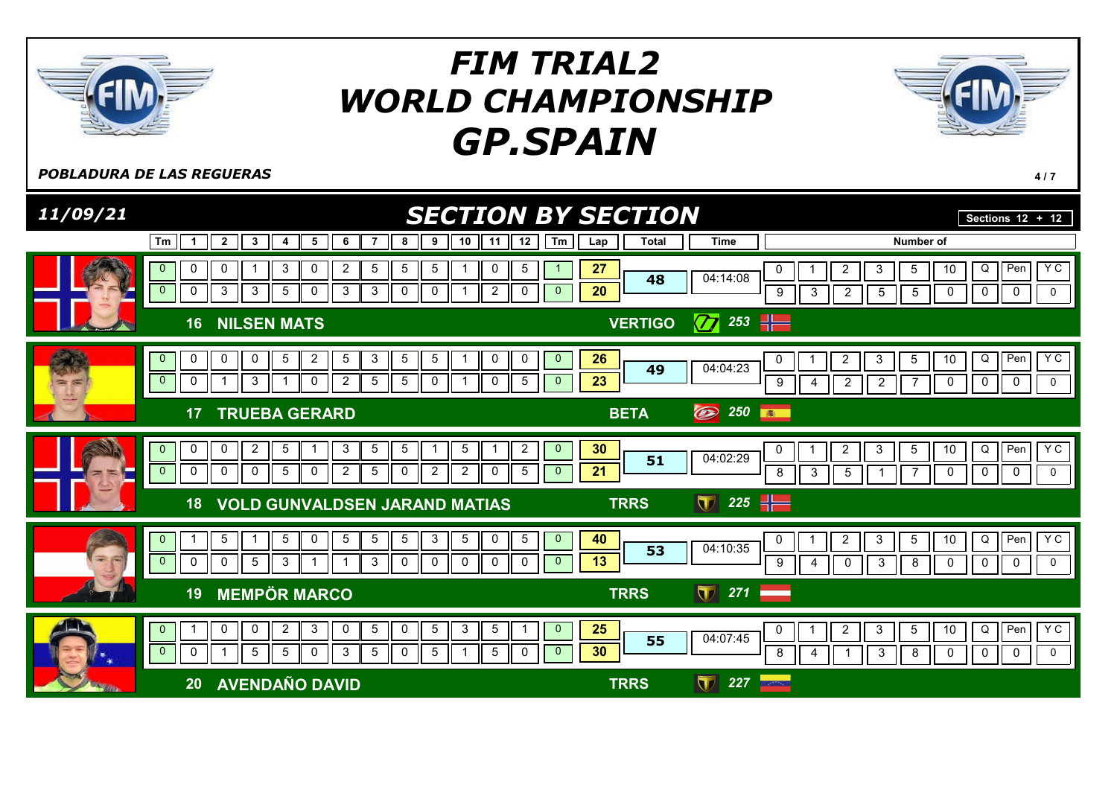

**POBLADURA DE LAS REGUERAS** 4/7

| 11/09/21                             | <b>SECTION BY SECTION</b>                                                                                                                                                                                                                                          |                                                                                                      | Sections $12 + 12$                                                                                       |
|--------------------------------------|--------------------------------------------------------------------------------------------------------------------------------------------------------------------------------------------------------------------------------------------------------------------|------------------------------------------------------------------------------------------------------|----------------------------------------------------------------------------------------------------------|
|                                      | 10<br>12<br>Tm<br>Tm<br>$\mathbf{2}$<br>3<br>5<br>6<br>$\overline{7}$<br>8 II<br>9<br>11<br>$\mathbf{1}$<br>4                                                                                                                                                      | <b>Total</b><br><b>Time</b><br>Lap                                                                   | Number of                                                                                                |
|                                      | $\mathbf{3}$<br>5<br>0<br>0<br>0<br>2<br>5<br>5<br>0<br>5<br>$\overline{0}$<br>0<br>$\mathbf{3}$<br>3<br>$5\phantom{.0}$<br>3<br>$\mathbf{3}$<br>0<br>$\overline{2}$<br>0<br>0<br>0<br>$\mathbf{0}$                                                                | 27<br>2<br>3<br>0<br>04:14:08<br>48<br>$\overline{20}$<br>$\overline{2}$<br>9<br>3<br>5              | <b>YC</b><br>$\overline{O}$<br>Pen<br>10<br>5<br>$\mathbf 0$<br>$\mathbf 0$<br>$\mathbf 0$<br>5<br>0     |
|                                      | <b>NILSEN MATS</b><br>16                                                                                                                                                                                                                                           | 253 $-$<br>$\overline{\mathbf{Z}}$<br><b>VERTIGO</b>                                                 |                                                                                                          |
|                                      | 5<br>0<br>$5\phantom{.0}$<br>$\overline{2}$<br>5<br>3<br>5<br>0<br>0<br>0<br>0<br>$\mathbf{0}$<br>$\mathbf{0}$<br>$\overline{0}$<br>$\overline{2}$<br>$5\phantom{.0}$<br>0<br>3<br>0<br>5 <sub>1</sub><br>0<br>$\mathbf 0$<br>5<br>$\mathbf 1$<br>$\mathbf{0}$     | 26<br>$\overline{2}$<br>3<br>0<br>04:04:23<br>49<br>23<br>$\overline{2}$<br>9<br>$\overline{2}$<br>4 | Y C<br>Q<br>Pen<br>5<br>10<br>$\mathbf 0$<br>$\mathbf 0$<br>$\mathbf 0$<br>$\mathbf 0$<br>$\overline{7}$ |
|                                      | <b>TRUEBA GERARD</b><br>17                                                                                                                                                                                                                                         | O<br>250<br><b>BETA</b><br>第一                                                                        |                                                                                                          |
|                                      | $\overline{2}$<br>$\mathbf 0$<br>5<br>3<br>5<br>5<br>$\overline{2}$<br>$\mathbf{0}$<br>0<br>5<br>$\mathbf{0}$<br>1<br>$\overline{0}$<br>$5\phantom{.0}$<br>$\overline{2}$<br>0<br>$\mathbf 0$<br>0<br>$\overline{2}$<br>5<br>2<br>0<br>0<br>0<br>5<br>$\mathbf{0}$ | 30<br>$\overline{2}$<br>3<br>0<br>04:02:29<br>51<br>21<br>8<br>3<br>$\overline{5}$                   | YC<br>$\overline{Q}$<br>Pen<br>10<br>5<br>$\mathbf 0$<br>0<br>0<br>0<br>$\overline{7}$                   |
|                                      | <b>VOLD GUNVALDSEN JARAND MATIAS</b><br>18                                                                                                                                                                                                                         | 225 $\parallel$<br>$\blacksquare$<br><b>TRRS</b>                                                     |                                                                                                          |
| $\overline{\mathbf{w}}$<br>$\subset$ | 5<br>$5\phantom{.0}$<br>$5\phantom{.0}$<br>3<br>0<br>5<br>5 <sub>1</sub><br>$5\phantom{.0}$<br>$\mathbf 0$<br>$\mathbf 5$<br>$\overline{1}$<br>$\mathbf 0$<br>$\mathbf{0}$<br>$\overline{0}$<br>0<br>3<br>3<br>0<br>5<br>0<br>0<br>0<br>0                          | 40<br>$\overline{2}$<br>3<br>0<br>04:10:35<br>53<br>13<br>9<br>$\mathbf 0$<br>3<br>4                 | $Y$ C<br>Q<br>$5\phantom{.0}$<br>10<br>Pen<br>8<br>$\overline{0}$<br>0<br>0<br>0                         |
|                                      | <b>MEMPÖR MARCO</b><br>19                                                                                                                                                                                                                                          | $\blacksquare$<br>271<br><b>TRRS</b>                                                                 |                                                                                                          |
|                                      | $\overline{2}$<br>$\mathbf{3}$<br>$5\phantom{.0}$<br>5<br>$\mathbf{3}$<br>$\sqrt{5}$<br>0<br>0<br>$\mathbf{0}$<br>0<br>0<br>-1<br>$\sqrt{5}$<br>3<br>$\overline{5}$<br>$\overline{0}$<br>$\mathbf 0$<br>5<br>$\sqrt{5}$<br>5<br>$\mathbf 0$<br>0                   | 25<br>$\overline{2}$<br>$\mathbf{3}$<br>0<br>04:07:45<br>55<br>30<br>3<br>8<br>1                     | YC<br>Q<br>$5\phantom{.0}$<br>10<br>Pen<br>8<br>0<br>$\mathbf 0$<br>0<br>0                               |
|                                      | <b>AVENDAÑO DAVID</b><br>20                                                                                                                                                                                                                                        | $\mathbf \Pi$<br>227<br><b>TRRS</b><br>$\sim 2000$ km s $^{-1}$                                      |                                                                                                          |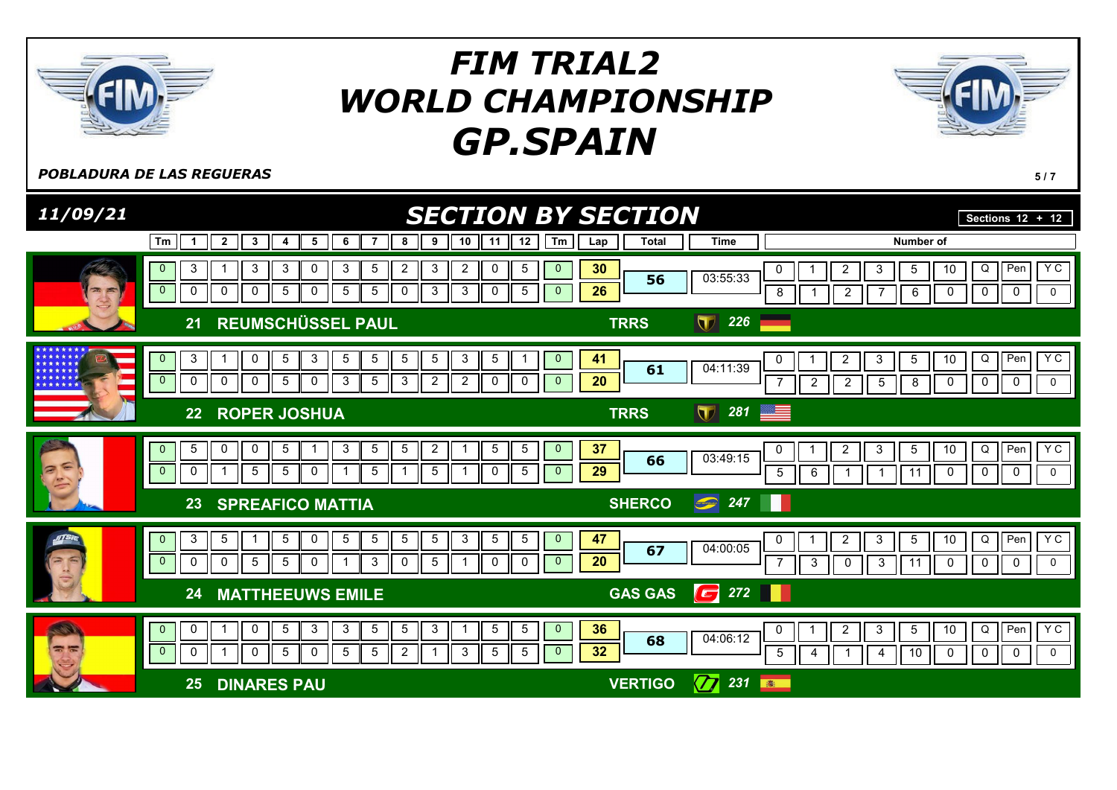

**POBLADURA DE LAS REGUERAS** 5/7

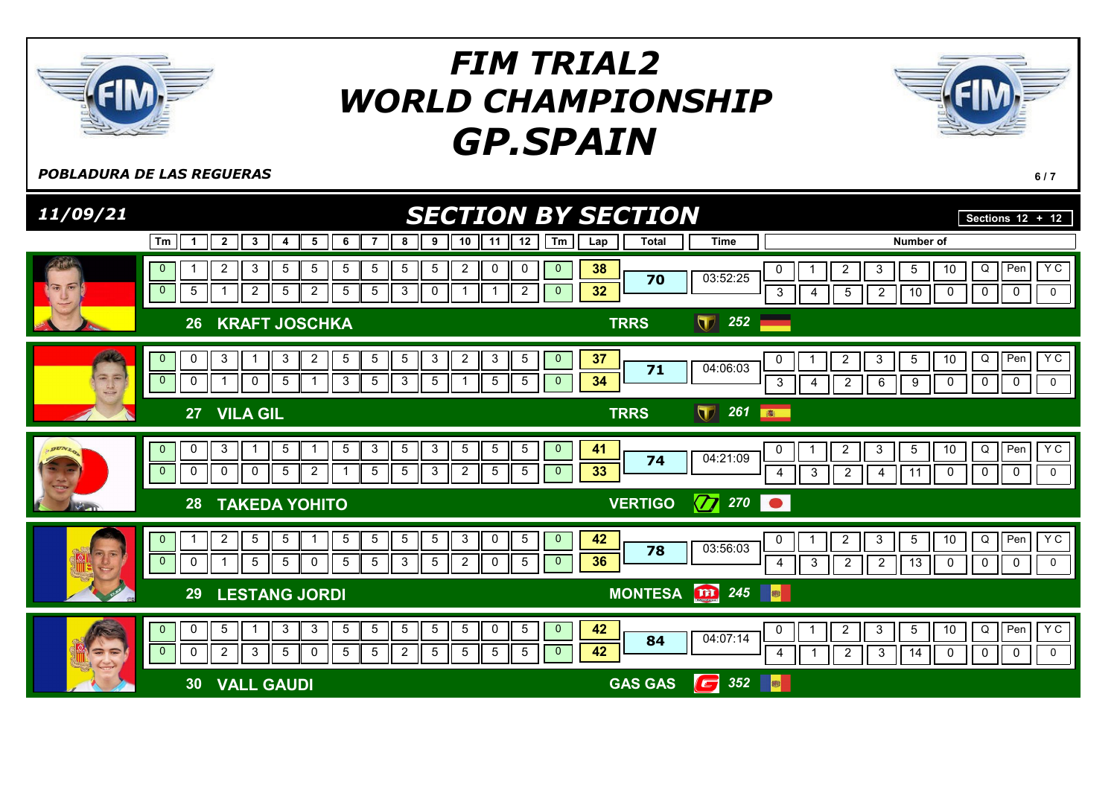

**POBLADURA DE LAS REGUERAS** 6/7